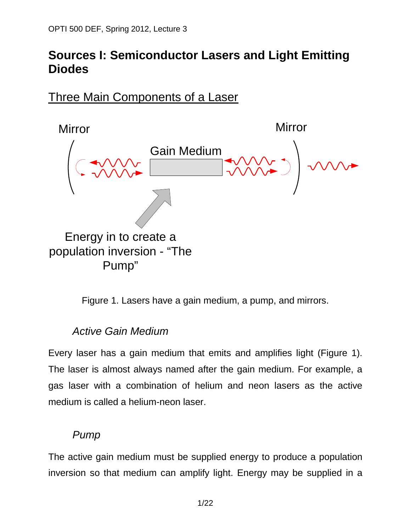## **Sources I: Semiconductor Lasers and Light Emitting Diodes**

Three Main Components of a Laser



Figure 1. Lasers have a gain medium, a pump, and mirrors.

#### *Active Gain Medium*

Every laser has a gain medium that emits and amplifies light (Figure 1). The laser is almost always named after the gain medium. For example, a gas laser with a combination of helium and neon lasers as the active medium is called a helium-neon laser.

#### *Pump*

The active gain medium must be supplied energy to produce a population inversion so that medium can amplify light. Energy may be supplied in a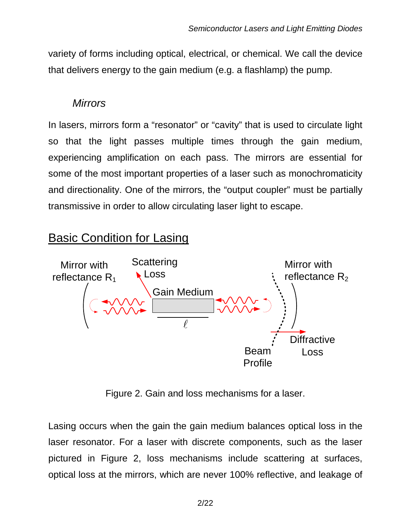variety of forms including optical, electrical, or chemical. We call the device that delivers energy to the gain medium (e.g. a flashlamp) the pump.

#### *Mirrors*

In lasers, mirrors form a "resonator" or "cavity" that is used to circulate light so that the light passes multiple times through the gain medium, experiencing amplification on each pass. The mirrors are essential for some of the most important properties of a laser such as monochromaticity and directionality. One of the mirrors, the "output coupler" must be partially transmissive in order to allow circulating laser light to escape.

# Basic Condition for Lasing



Figure 2. Gain and loss mechanisms for a laser.

Lasing occurs when the gain the gain medium balances optical loss in the laser resonator. For a laser with discrete components, such as the laser pictured in Figure 2, loss mechanisms include scattering at surfaces, optical loss at the mirrors, which are never 100% reflective, and leakage of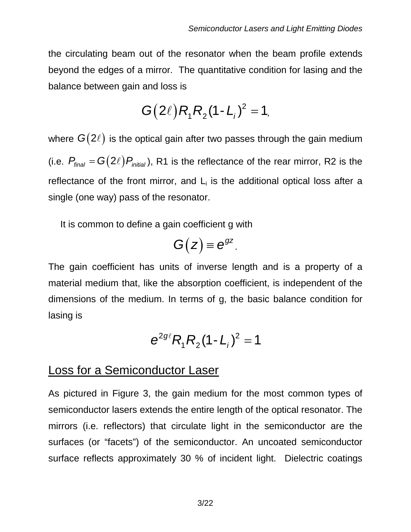the circulating beam out of the resonator when the beam profile extends beyond the edges of a mirror. The quantitative condition for lasing and the balance between gain and loss is

$$
G(2\ell)R_1R_2(1-L_i)^2=1,
$$

where  $G(2\ell)$  is the optical gain after two passes through the gain medium (i.e.  $P_{\text{final}} = G(2\ell) P_{\text{initial}}$ ), R1 is the reflectance of the rear mirror, R2 is the reflectance of the front mirror, and  $L_i$  is the additional optical loss after a single (one way) pass of the resonator.

It is common to define a gain coefficient g with

$$
G(z) \equiv e^{gz}.
$$

The gain coefficient has units of inverse length and is a property of a material medium that, like the absorption coefficient, is independent of the dimensions of the medium. In terms of g, the basic balance condition for lasing is

$$
e^{2g\ell}R_1R_2(1-L_1)^2=1
$$

## Loss for a Semiconductor Laser

As pictured in Figure 3, the gain medium for the most common types of semiconductor lasers extends the entire length of the optical resonator. The mirrors (i.e. reflectors) that circulate light in the semiconductor are the surfaces (or "facets") of the semiconductor. An uncoated semiconductor surface reflects approximately 30 % of incident light. Dielectric coatings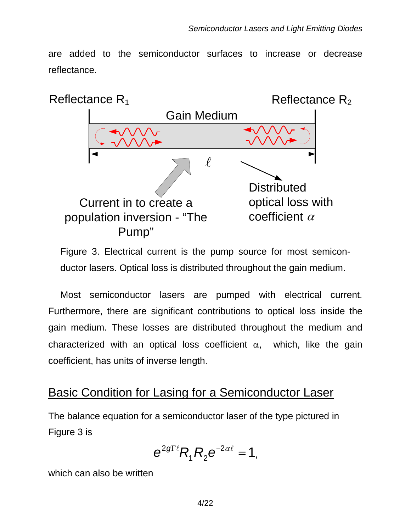are added to the semiconductor surfaces to increase or decrease reflectance.



Figure 3. Electrical current is the pump source for most semiconductor lasers. Optical loss is distributed throughout the gain medium.

Most semiconductor lasers are pumped with electrical current. Furthermore, there are significant contributions to optical loss inside the gain medium. These losses are distributed throughout the medium and characterized with an optical loss coefficient  $\alpha$ , which, like the gain coefficient, has units of inverse length.

## Basic Condition for Lasing for a Semiconductor Laser

The balance equation for a semiconductor laser of the type pictured in Figure 3 is

$$
e^{2g\Gamma \ell}R_1R_2e^{-2\alpha \ell}=1,
$$

which can also be written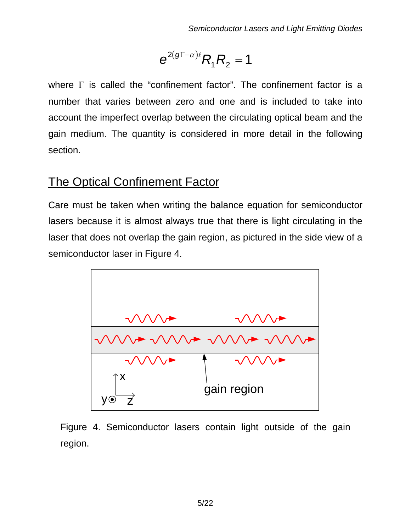$$
e^{2(g\Gamma-\alpha)\ell}R_1R_2=1
$$

where  $\Gamma$  is called the "confinement factor". The confinement factor is a number that varies between zero and one and is included to take into account the imperfect overlap between the circulating optical beam and the gain medium. The quantity is considered in more detail in the following section.

## The Optical Confinement Factor

Care must be taken when writing the balance equation for semiconductor lasers because it is almost always true that there is light circulating in the laser that does not overlap the gain region, as pictured in the side view of a semiconductor laser in Figure 4.



Figure 4. Semiconductor lasers contain light outside of the gain region.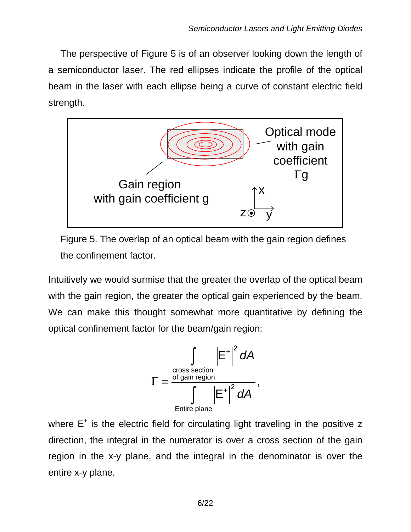The perspective of Figure 5 is of an observer looking down the length of a semiconductor laser. The red ellipses indicate the profile of the optical beam in the laser with each ellipse being a curve of constant electric field strength.



Figure 5. The overlap of an optical beam with the gain region defines the confinement factor.

Intuitively we would surmise that the greater the overlap of the optical beam with the gain region, the greater the optical gain experienced by the beam. We can make this thought somewhat more quantitative by defining the optical confinement factor for the beam/gain region:



where  $E^+$  is the electric field for circulating light traveling in the positive z direction, the integral in the numerator is over a cross section of the gain region in the x-y plane, and the integral in the denominator is over the entire x-y plane.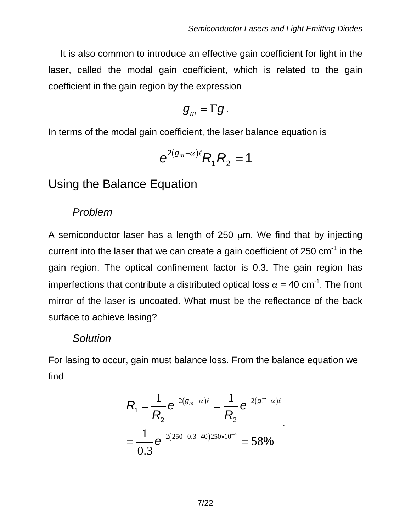It is also common to introduce an effective gain coefficient for light in the laser, called the modal gain coefficient, which is related to the gain coefficient in the gain region by the expression

$$
g_m=\Gamma g.
$$

In terms of the modal gain coefficient, the laser balance equation is

$$
e^{2(g_m-\alpha)\ell}R_1R_2=1
$$

## Using the Balance Equation

#### *Problem*

A semiconductor laser has a length of  $250 \mu m$ . We find that by injecting current into the laser that we can create a gain coefficient of 250  $cm^{-1}$  in the gain region. The optical confinement factor is 0.3. The gain region has imperfections that contribute a distributed optical loss  $\alpha$  = 40 cm<sup>-1</sup>. The front mirror of the laser is uncoated. What must be the reflectance of the back surface to achieve lasing?

#### *Solution*

For lasing to occur, gain must balance loss. From the balance equation we find

$$
R_{1} = \frac{1}{R_{2}} e^{-2(g_{m}-\alpha)\ell} = \frac{1}{R_{2}} e^{-2(g_{1}-\alpha)\ell}
$$

$$
= \frac{1}{0.3} e^{-2(250 \cdot 0.3 - 40)250 \times 10^{-4}} = 58\%
$$

.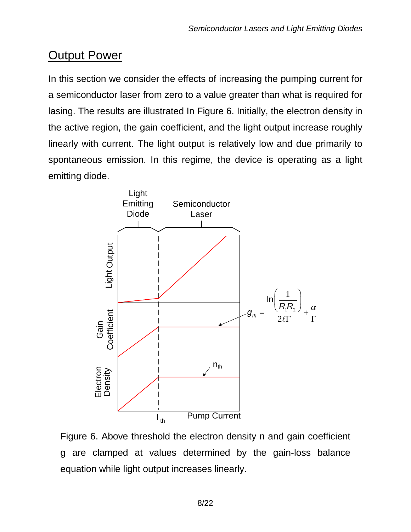# Output Power

In this section we consider the effects of increasing the pumping current for a semiconductor laser from zero to a value greater than what is required for lasing. The results are illustrated In Figure 6. Initially, the electron density in the active region, the gain coefficient, and the light output increase roughly linearly with current. The light output is relatively low and due primarily to spontaneous emission. In this regime, the device is operating as a light emitting diode.



Figure 6. Above threshold the electron density n and gain coefficient g are clamped at values determined by the gain-loss balance equation while light output increases linearly.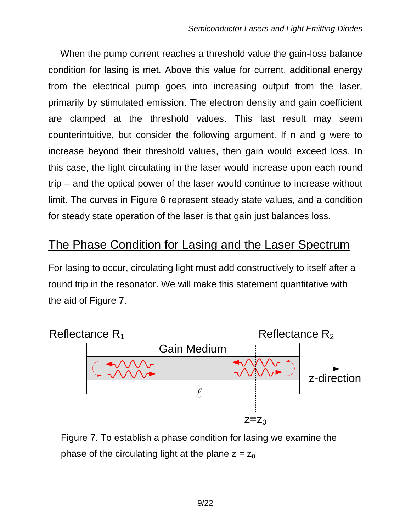When the pump current reaches a threshold value the gain-loss balance condition for lasing is met. Above this value for current, additional energy from the electrical pump goes into increasing output from the laser, primarily by stimulated emission. The electron density and gain coefficient are clamped at the threshold values. This last result may seem counterintuitive, but consider the following argument. If n and g were to increase beyond their threshold values, then gain would exceed loss. In this case, the light circulating in the laser would increase upon each round trip – and the optical power of the laser would continue to increase without limit. The curves in Figure 6 represent steady state values, and a condition for steady state operation of the laser is that gain just balances loss.

## The Phase Condition for Lasing and the Laser Spectrum

For lasing to occur, circulating light must add constructively to itself after a round trip in the resonator. We will make this statement quantitative with the aid of Figure 7.



Figure 7. To establish a phase condition for lasing we examine the phase of the circulating light at the plane  $z = z_0$ .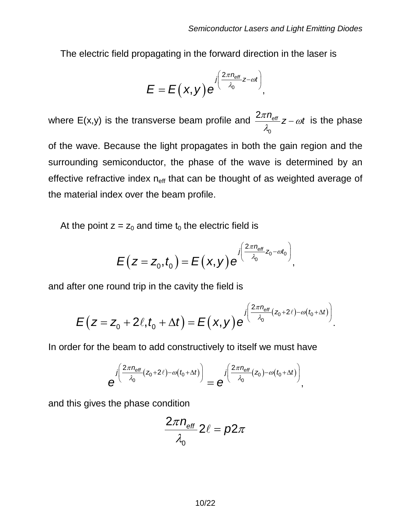The electric field propagating in the forward direction in the laser is

$$
E = E(x,y) e^{\int \left(\frac{2\pi n_{\text{eff}}}{\lambda_0}z - \omega t\right)},
$$

where E(x,y) is the transverse beam profile and 0  $\frac{2\pi n_{\text{eff}}}{\lambda_0}$ z –  $\omega t$  is the phase

of the wave. Because the light propagates in both the gain region and the surrounding semiconductor, the phase of the wave is determined by an effective refractive index  $n_{\text{eff}}$  that can be thought of as weighted average of the material index over the beam profile.

At the point  $z = z_0$  and time  $t_0$  the electric field is

$$
E(z = z_0, t_0) = E(x, y) e^{j\left(\frac{2\pi n_{\text{eff}}}{\lambda_0} z_0 - \omega t_0\right)},
$$

and after one round trip in the cavity the field is

$$
E(z=z_0+2\ell,t_0+\Delta t)=E(x,y)e^{\int_{0}^{z\pi n_{\text{eff}}(z_0+2\ell)-\omega(t_0+\Delta t))}}.
$$

In order for the beam to add constructively to itself we must have

$$
e^{j\left(\frac{2\pi n_{\text{eff}}}{\lambda_0}(z_0+2\ell)-\omega(t_0+\Delta t)\right)}=e^{j\left(\frac{2\pi n_{\text{eff}}}{\lambda_0}(z_0)-\omega(t_0+\Delta t)\right)},
$$

and this gives the phase condition

$$
\frac{2\pi n_{\text{eff}}}{\lambda_0} 2\ell = p2\pi
$$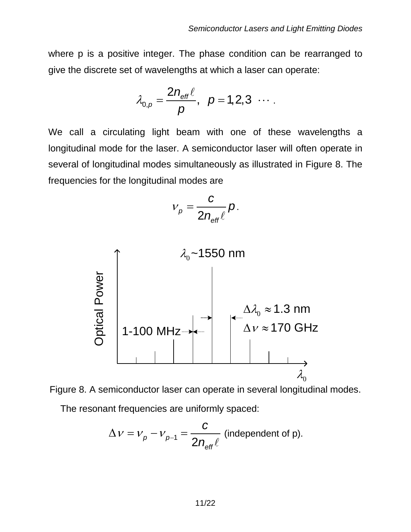where p is a positive integer. The phase condition can be rearranged to give the discrete set of wavelengths at which a laser can operate:

$$
\lambda_{0,p}=\frac{2n_{\text{eff}}\ell}{p}, p=1,2,3 \cdots.
$$

We call a circulating light beam with one of these wavelengths a longitudinal mode for the laser. A semiconductor laser will often operate in several of longitudinal modes simultaneously as illustrated in Figure 8. The frequencies for the longitudinal modes are

$$
v_p = \frac{c}{2n_{\text{eff}}\ell} p.
$$





The resonant frequencies are uniformly spaced:

$$
\Delta v = v_p - v_{p-1} = \frac{c}{2n_{\text{eff}}\ell}
$$
 (independent of p).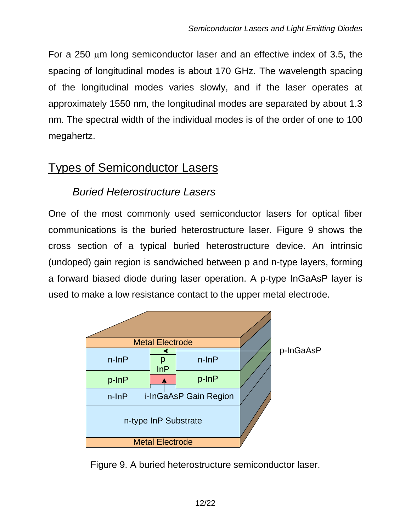For a 250 µm long semiconductor laser and an effective index of 3.5, the spacing of longitudinal modes is about 170 GHz. The wavelength spacing of the longitudinal modes varies slowly, and if the laser operates at approximately 1550 nm, the longitudinal modes are separated by about 1.3 nm. The spectral width of the individual modes is of the order of one to 100 megahertz.

## Types of Semiconductor Lasers

## *Buried Heterostructure Lasers*

One of the most commonly used semiconductor lasers for optical fiber communications is the buried heterostructure laser. Figure 9 shows the cross section of a typical buried heterostructure device. An intrinsic (undoped) gain region is sandwiched between p and n-type layers, forming a forward biased diode during laser operation. A p-type InGaAsP layer is used to make a low resistance contact to the upper metal electrode.



Figure 9. A buried heterostructure semiconductor laser.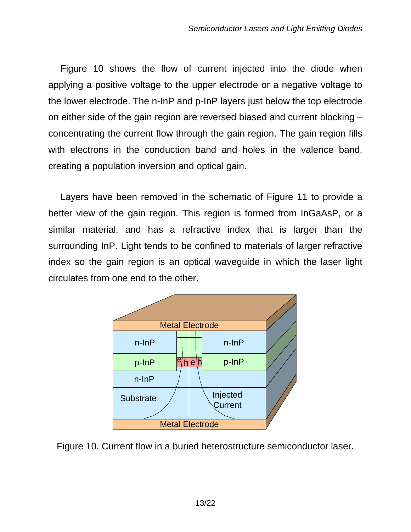Figure 10 shows the flow of current injected into the diode when applying a positive voltage to the upper electrode or a negative voltage to the lower electrode. The n-InP and p-InP layers just below the top electrode on either side of the gain region are reversed biased and current blocking – concentrating the current flow through the gain region. The gain region fills with electrons in the conduction band and holes in the valence band, creating a population inversion and optical gain.

Layers have been removed in the schematic of Figure 11 to provide a better view of the gain region. This region is formed from InGaAsP, or a similar material, and has a refractive index that is larger than the surrounding InP. Light tends to be confined to materials of larger refractive index so the gain region is an optical waveguide in which the laser light circulates from one end to the other.



Figure 10. Current flow in a buried heterostructure semiconductor laser.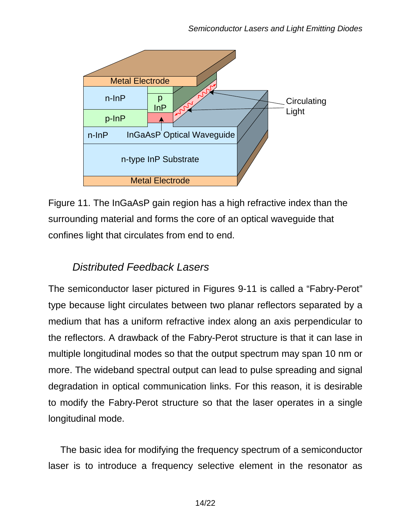

Figure 11. The InGaAsP gain region has a high refractive index than the surrounding material and forms the core of an optical waveguide that confines light that circulates from end to end.

## *Distributed Feedback Lasers*

The semiconductor laser pictured in Figures 9-11 is called a "Fabry-Perot" type because light circulates between two planar reflectors separated by a medium that has a uniform refractive index along an axis perpendicular to the reflectors. A drawback of the Fabry-Perot structure is that it can lase in multiple longitudinal modes so that the output spectrum may span 10 nm or more. The wideband spectral output can lead to pulse spreading and signal degradation in optical communication links. For this reason, it is desirable to modify the Fabry-Perot structure so that the laser operates in a single longitudinal mode.

The basic idea for modifying the frequency spectrum of a semiconductor laser is to introduce a frequency selective element in the resonator as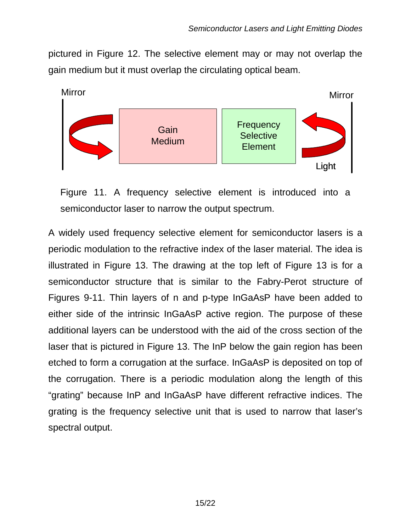pictured in Figure 12. The selective element may or may not overlap the gain medium but it must overlap the circulating optical beam.



Figure 11. A frequency selective element is introduced into a semiconductor laser to narrow the output spectrum.

A widely used frequency selective element for semiconductor lasers is a periodic modulation to the refractive index of the laser material. The idea is illustrated in Figure 13. The drawing at the top left of Figure 13 is for a semiconductor structure that is similar to the Fabry-Perot structure of Figures 9-11. Thin layers of n and p-type InGaAsP have been added to either side of the intrinsic InGaAsP active region. The purpose of these additional layers can be understood with the aid of the cross section of the laser that is pictured in Figure 13. The InP below the gain region has been etched to form a corrugation at the surface. InGaAsP is deposited on top of the corrugation. There is a periodic modulation along the length of this "grating" because InP and InGaAsP have different refractive indices. The grating is the frequency selective unit that is used to narrow that laser's spectral output.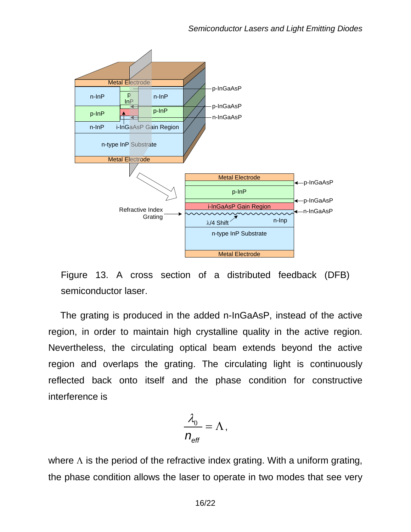



The grating is produced in the added n-InGaAsP, instead of the active region, in order to maintain high crystalline quality in the active region. Nevertheless, the circulating optical beam extends beyond the active region and overlaps the grating. The circulating light is continuously reflected back onto itself and the phase condition for constructive interference is

$$
\frac{\lambda_0}{n_{\text{eff}}} = \Lambda,
$$

where  $\Lambda$  is the period of the refractive index grating. With a uniform grating, the phase condition allows the laser to operate in two modes that see very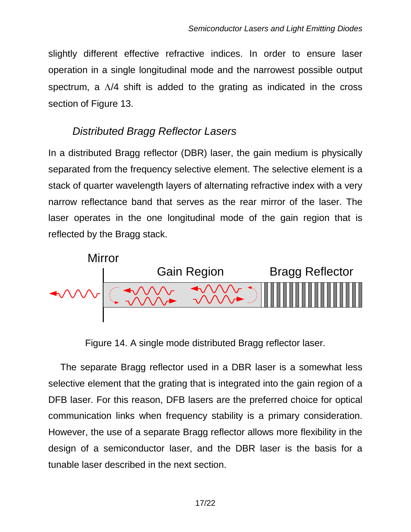slightly different effective refractive indices. In order to ensure laser operation in a single longitudinal mode and the narrowest possible output spectrum, a Λ/4 shift is added to the grating as indicated in the cross section of Figure 13.

## *Distributed Bragg Reflector Lasers*

In a distributed Bragg reflector (DBR) laser, the gain medium is physically separated from the frequency selective element. The selective element is a stack of quarter wavelength layers of alternating refractive index with a very narrow reflectance band that serves as the rear mirror of the laser. The laser operates in the one longitudinal mode of the gain region that is reflected by the Bragg stack.



Figure 14. A single mode distributed Bragg reflector laser.

The separate Bragg reflector used in a DBR laser is a somewhat less selective element that the grating that is integrated into the gain region of a DFB laser. For this reason, DFB lasers are the preferred choice for optical communication links when frequency stability is a primary consideration. However, the use of a separate Bragg reflector allows more flexibility in the design of a semiconductor laser, and the DBR laser is the basis for a tunable laser described in the next section.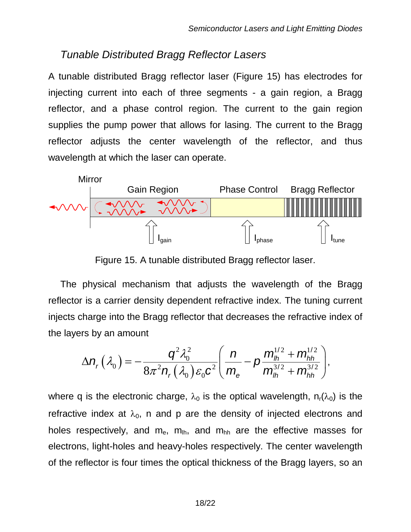#### *Tunable Distributed Bragg Reflector Lasers*

A tunable distributed Bragg reflector laser (Figure 15) has electrodes for injecting current into each of three segments - a gain region, a Bragg reflector, and a phase control region. The current to the gain region supplies the pump power that allows for lasing. The current to the Bragg reflector adjusts the center wavelength of the reflector, and thus wavelength at which the laser can operate.



Figure 15. A tunable distributed Bragg reflector laser.

The physical mechanism that adjusts the wavelength of the Bragg reflector is a carrier density dependent refractive index. The tuning current injects charge into the Bragg reflector that decreases the refractive index of the layers by an amount

$$
\Delta n_r(\lambda_0) = -\frac{q^2\lambda_0^2}{8\pi^2 n_r(\lambda_0)\varepsilon_0 c^2} \left(\frac{n}{m_e} - p\frac{m_h^{1/2} + m_{hh}^{1/2}}{m_h^{3/2} + m_{hh}^{3/2}}\right),
$$

where q is the electronic charge,  $\lambda_0$  is the optical wavelength,  $n_r(\lambda_0)$  is the refractive index at  $\lambda_0$ , n and p are the density of injected electrons and holes respectively, and  $m_e$ ,  $m_{\text{lh}}$ , and  $m_{\text{hh}}$  are the effective masses for electrons, light-holes and heavy-holes respectively. The center wavelength of the reflector is four times the optical thickness of the Bragg layers, so an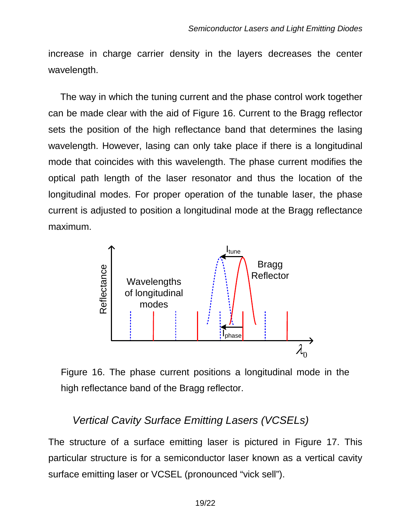increase in charge carrier density in the layers decreases the center wavelength.

The way in which the tuning current and the phase control work together can be made clear with the aid of Figure 16. Current to the Bragg reflector sets the position of the high reflectance band that determines the lasing wavelength. However, lasing can only take place if there is a longitudinal mode that coincides with this wavelength. The phase current modifies the optical path length of the laser resonator and thus the location of the longitudinal modes. For proper operation of the tunable laser, the phase current is adjusted to position a longitudinal mode at the Bragg reflectance maximum.





#### *Vertical Cavity Surface Emitting Lasers (VCSELs)*

The structure of a surface emitting laser is pictured in Figure 17. This particular structure is for a semiconductor laser known as a vertical cavity surface emitting laser or VCSEL (pronounced "vick sell").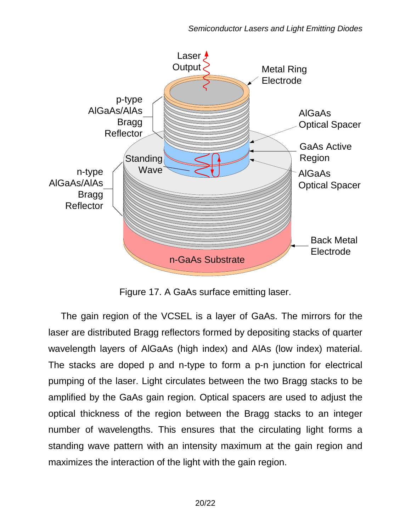

Figure 17. A GaAs surface emitting laser.

The gain region of the VCSEL is a layer of GaAs. The mirrors for the laser are distributed Bragg reflectors formed by depositing stacks of quarter wavelength layers of AlGaAs (high index) and AlAs (low index) material. The stacks are doped p and n-type to form a p-n junction for electrical pumping of the laser. Light circulates between the two Bragg stacks to be amplified by the GaAs gain region. Optical spacers are used to adjust the optical thickness of the region between the Bragg stacks to an integer number of wavelengths. This ensures that the circulating light forms a standing wave pattern with an intensity maximum at the gain region and maximizes the interaction of the light with the gain region.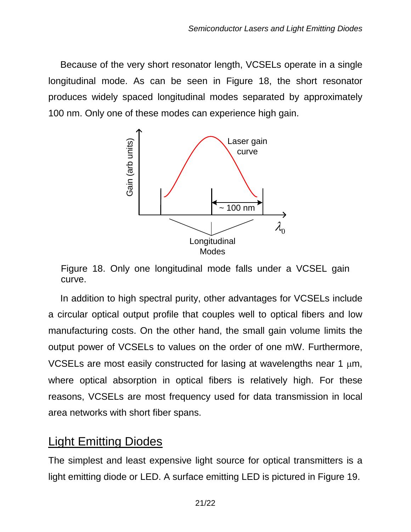Because of the very short resonator length, VCSELs operate in a single longitudinal mode. As can be seen in Figure 18, the short resonator produces widely spaced longitudinal modes separated by approximately 100 nm. Only one of these modes can experience high gain.



Figure 18. Only one longitudinal mode falls under a VCSEL gain curve.

In addition to high spectral purity, other advantages for VCSELs include a circular optical output profile that couples well to optical fibers and low manufacturing costs. On the other hand, the small gain volume limits the output power of VCSELs to values on the order of one mW. Furthermore, VCSELs are most easily constructed for lasing at wavelengths near 1  $\mu$ m, where optical absorption in optical fibers is relatively high. For these reasons, VCSELs are most frequency used for data transmission in local area networks with short fiber spans.

## Light Emitting Diodes

The simplest and least expensive light source for optical transmitters is a light emitting diode or LED. A surface emitting LED is pictured in Figure 19.